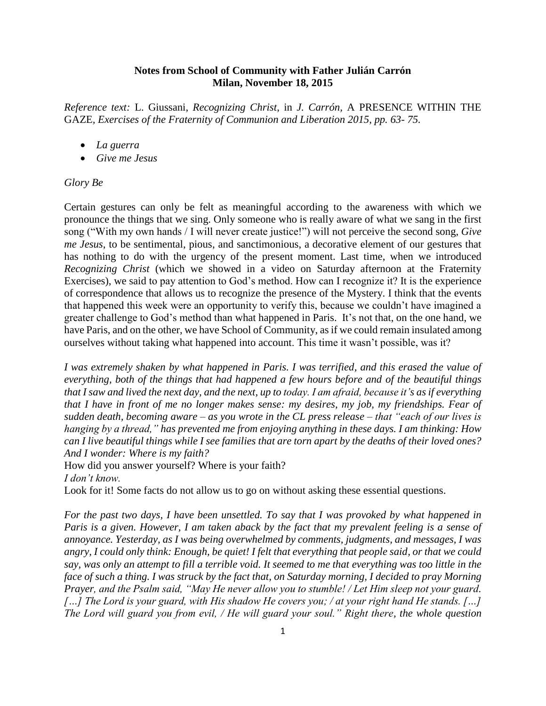## **Notes from School of Community with Father Julián Carrón Milan, November 18, 2015**

*Reference text:* L. Giussani, *Recognizing Christ*, in *J. Carrón,* A PRESENCE WITHIN THE GAZE*, Exercises of the Fraternity of Communion and Liberation 2015, pp. 63- 75.*

- *La guerra*
- *Give me Jesus*

## *Glory Be*

Certain gestures can only be felt as meaningful according to the awareness with which we pronounce the things that we sing. Only someone who is really aware of what we sang in the first song ("With my own hands / I will never create justice!") will not perceive the second song, *Give me Jesus*, to be sentimental, pious, and sanctimonious, a decorative element of our gestures that has nothing to do with the urgency of the present moment. Last time, when we introduced *Recognizing Christ* (which we showed in a video on Saturday afternoon at the Fraternity Exercises), we said to pay attention to God's method. How can I recognize it? It is the experience of correspondence that allows us to recognize the presence of the Mystery. I think that the events that happened this week were an opportunity to verify this, because we couldn't have imagined a greater challenge to God's method than what happened in Paris. It's not that, on the one hand, we have Paris, and on the other, we have School of Community, as if we could remain insulated among ourselves without taking what happened into account. This time it wasn't possible, was it?

*I was extremely shaken by what happened in Paris. I was terrified, and this erased the value of everything, both of the things that had happened a few hours before and of the beautiful things that I saw and lived the next day, and the next, up to today. I am afraid, because it's as if everything that I have in front of me no longer makes sense: my desires, my job, my friendships. Fear of sudden death, becoming aware – as you wrote in the CL press release – that "each of our lives is hanging by a thread," has prevented me from enjoying anything in these days. I am thinking: How can I live beautiful things while I see families that are torn apart by the deaths of their loved ones? And I wonder: Where is my faith?*

How did you answer yourself? Where is your faith? *I don't know.*

Look for it! Some facts do not allow us to go on without asking these essential questions.

*For the past two days, I have been unsettled. To say that I was provoked by what happened in Paris is a given. However, I am taken aback by the fact that my prevalent feeling is a sense of annoyance. Yesterday, as I was being overwhelmed by comments, judgments, and messages, I was angry, I could only think: Enough, be quiet! I felt that everything that people said, or that we could say, was only an attempt to fill a terrible void. It seemed to me that everything was too little in the face of such a thing. I was struck by the fact that, on Saturday morning, I decided to pray Morning Prayer, and the Psalm said, "May He never allow you to stumble! / Let Him sleep not your guard. […] The Lord is your guard, with His shadow He covers you; / at your right hand He stands. […] The Lord will guard you from evil, / He will guard your soul." Right there, the whole question*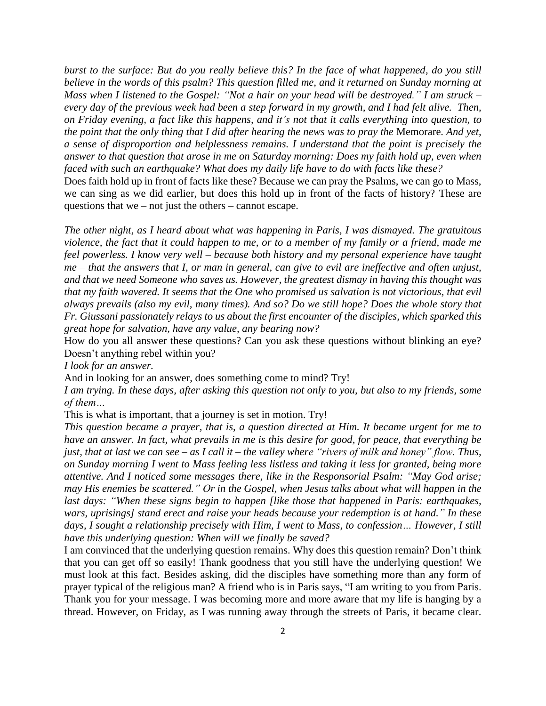*burst to the surface: But do you really believe this? In the face of what happened, do you still believe in the words of this psalm? This question filled me, and it returned on Sunday morning at Mass when I listened to the Gospel: "Not a hair on your head will be destroyed." I am struck –* every day of the previous week had been a step forward in my growth, and I had felt alive. Then, on Friday evening, a fact like this happens, and it's not that it calls everything into question, to the point that the only thing that I did after hearing the news was to pray the Memorare. And yet, *a sense of disproportion and helplessness remains. I understand that the point is precisely the answer to that question that arose in me on Saturday morning: Does my faith hold up, even when faced with such an earthquake? What does my daily life have to do with facts like these?*

Does faith hold up in front of facts like these? Because we can pray the Psalms, we can go to Mass, we can sing as we did earlier, but does this hold up in front of the facts of history? These are questions that we – not just the others – cannot escape.

*The other night, as I heard about what was happening in Paris, I was dismayed. The gratuitous* violence, the fact that it could happen to me, or to a member of my family or a friend, made me *feel powerless. I know very well – because both history and my personal experience have taught*  $me$  – that the answers that I, or man in general, can give to evil are ineffective and often unjust, *and that we need Someone who saves us. However, the greatest dismay in having this thought was* that my faith wavered. It seems that the One who promised us salvation is not victorious, that evil *always prevails (also my evil, many times). And so? Do we still hope? Does the whole story that Fr. Giussani passionately relays to us about the first encounter of the disciples, which sparked this great hope for salvation, have any value, any bearing now?*

How do you all answer these questions? Can you ask these questions without blinking an eye? Doesn't anything rebel within you?

*I look for an answer.*

And in looking for an answer, does something come to mind? Try!

*I am trying. In these days, after asking this question not only to you, but also to my friends, some of them…*

This is what is important, that a journey is set in motion. Try!

*This question became a prayer, that is, a question directed at Him. It became urgent for me to have an answer. In fact, what prevails in me is this desire for good, for peace, that everything be just, that at last we can see – as I call it – the valley where "rivers of milk and honey" flow. Thus, on Sunday morning I went to Mass feeling less listless and taking it less for granted, being more attentive. And I noticed some messages there, like in the Responsorial Psalm: "May God arise; may His enemies be scattered." Or in the Gospel, when Jesus talks about what will happen in the last days: "When these signs begin to happen [like those that happened in Paris: earthquakes, wars, uprisings] stand erect and raise your heads because your redemption is at hand." In these days, I sought a relationship precisely with Him, I went to Mass, to confession… However, I still have this underlying question: When will we finally be saved?*

I am convinced that the underlying question remains. Why does this question remain? Don't think that you can get off so easily! Thank goodness that you still have the underlying question! We must look at this fact. Besides asking, did the disciples have something more than any form of prayer typical of the religious man? A friend who is in Paris says, "I am writing to you from Paris. Thank you for your message. I was becoming more and more aware that my life is hanging by a thread. However, on Friday, as I was running away through the streets of Paris, it became clear.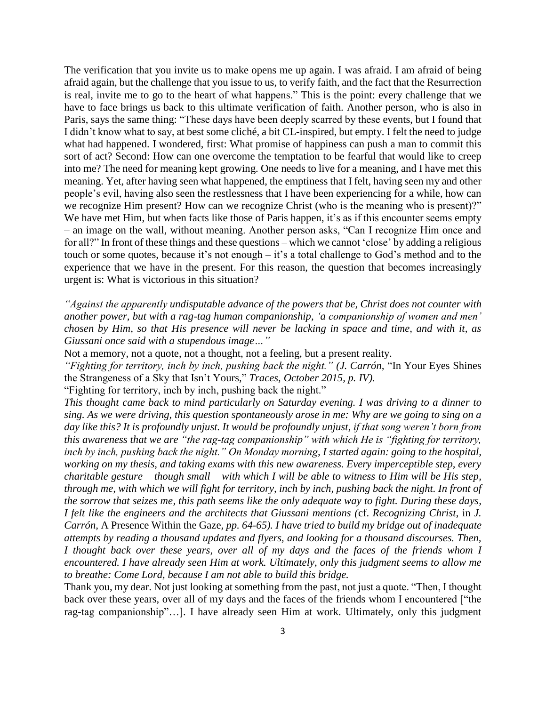The verification that you invite us to make opens me up again. I was afraid. I am afraid of being afraid again, but the challenge that you issue to us, to verify faith, and the fact that the Resurrection is real, invite me to go to the heart of what happens." This is the point: every challenge that we have to face brings us back to this ultimate verification of faith. Another person, who is also in Paris, says the same thing: "These days have been deeply scarred by these events, but I found that I didn't know what to say, at best some cliché, a bit CL-inspired, but empty. I felt the need to judge what had happened. I wondered, first: What promise of happiness can push a man to commit this sort of act? Second: How can one overcome the temptation to be fearful that would like to creep into me? The need for meaning kept growing. One needs to live for a meaning, and I have met this meaning. Yet, after having seen what happened, the emptiness that I felt, having seen my and other people's evil, having also seen the restlessness that I have been experiencing for a while, how can we recognize Him present? How can we recognize Christ (who is the meaning who is present)?" We have met Him, but when facts like those of Paris happen, it's as if this encounter seems empty – an image on the wall, without meaning. Another person asks, "Can I recognize Him once and for all?" In front of these things and these questions – which we cannot 'close' by adding a religious touch or some quotes, because it's not enough – it's a total challenge to God's method and to the experience that we have in the present. For this reason, the question that becomes increasingly urgent is: What is victorious in this situation?

*"Against the apparently undisputable advance of the powers that be, Christ does not counter with another power, but with a rag-tag human companionship, 'a companionship of women and men' chosen by Him, so that His presence will never be lacking in space and time, and with it, as Giussani once said with a stupendous image…"*

Not a memory, not a quote, not a thought, not a feeling, but a present reality.

*"Fighting for territory, inch by inch, pushing back the night." (J. Carrón,* "In Your Eyes Shines the Strangeness of a Sky that Isn't Yours*,*" *Traces, October 2015, p. IV).*

"Fighting for territory, inch by inch, pushing back the night."

*This thought came back to mind particularly on Saturday evening. I was driving to a dinner to sing. As we were driving, this question spontaneously arose in me: Why are we going to sing on a day like this? It is profoundly unjust. It would be profoundly unjust, if that song weren't born from this awareness that we are "the rag-tag companionship" with which He is "fighting for territory, inch by inch, pushing back the night." On Monday morning, I started again: going to the hospital, working on my thesis, and taking exams with this new awareness. Every imperceptible step, every charitable gesture – though small – with which I will be able to witness to Him will be His step, through me, with which we will fight for territory, inch by inch, pushing back the night. In front of the sorrow that seizes me, this path seems like the only adequate way to fight. During these days, I felt like the engineers and the architects that Giussani mentions (*cf. *Recognizing Christ*, in *J. Carrón,* A Presence Within the Gaze*, pp. 64-65). I have tried to build my bridge out of inadequate attempts by reading a thousand updates and flyers, and looking for a thousand discourses. Then, I thought back over these years, over all of my days and the faces of the friends whom I encountered. I have already seen Him at work. Ultimately, only this judgment seems to allow me to breathe: Come Lord, because I am not able to build this bridge.*

Thank you, my dear. Not just looking at something from the past, not just a quote. "Then, I thought back over these years, over all of my days and the faces of the friends whom I encountered ["the rag-tag companionship"…]. I have already seen Him at work. Ultimately, only this judgment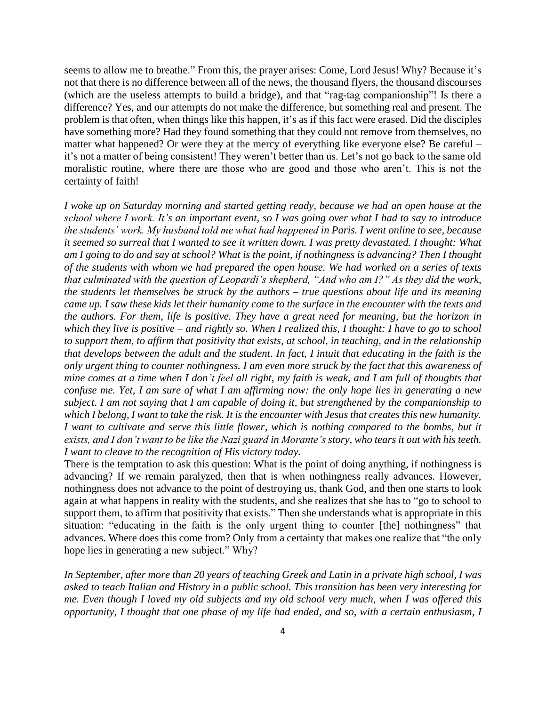seems to allow me to breathe." From this, the prayer arises: Come, Lord Jesus! Why? Because it's not that there is no difference between all of the news, the thousand flyers, the thousand discourses (which are the useless attempts to build a bridge), and that "rag-tag companionship"! Is there a difference? Yes, and our attempts do not make the difference, but something real and present. The problem is that often, when things like this happen, it's as if this fact were erased. Did the disciples have something more? Had they found something that they could not remove from themselves, no matter what happened? Or were they at the mercy of everything like everyone else? Be careful – it's not a matter of being consistent! They weren't better than us. Let's not go back to the same old moralistic routine, where there are those who are good and those who aren't. This is not the certainty of faith!

*I woke up on Saturday morning and started getting ready, because we had an open house at the school where I work. It's an important event, so I was going over what I had to say to introduce the students' work. My husband told me what had happened in Paris. I went online to see, because it seemed so surreal that I wanted to see it written down. I was pretty devastated. I thought: What am I going to do and say at school? What is the point, if nothingness is advancing? Then I thought of the students with whom we had prepared the open house. We had worked on a series of texts that culminated with the question of Leopardi's shepherd, "And who am I?" As they did the work, the students let themselves be struck by the authors – true questions about life and its meaning came up. I saw these kids let their humanity come to the surface in the encounter with the texts and the authors. For them, life is positive. They have a great need for meaning, but the horizon in which they live is positive – and rightly so. When I realized this, I thought: I have to go to school to support them, to affirm that positivity that exists, at school, in teaching, and in the relationship that develops between the adult and the student. In fact, I intuit that educating in the faith is the only urgent thing to counter nothingness. I am even more struck by the fact that this awareness of mine comes at a time when I don't feel all right, my faith is weak, and I am full of thoughts that confuse me. Yet, I am sure of what I am affirming now: the only hope lies in generating a new subject. I am not saying that I am capable of doing it, but strengthened by the companionship to which I belong, I want to take the risk. It is the encounter with Jesus that creates this new humanity. I* want to cultivate and serve this little flower, which is nothing compared to the bombs, but it *exists, and I don't want to be like the Nazi guard in Morante's story, who tears it out with his teeth. I want to cleave to the recognition of His victory today.* 

There is the temptation to ask this question: What is the point of doing anything, if nothingness is advancing? If we remain paralyzed, then that is when nothingness really advances. However, nothingness does not advance to the point of destroying us, thank God, and then one starts to look again at what happens in reality with the students, and she realizes that she has to "go to school to support them, to affirm that positivity that exists." Then she understands what is appropriate in this situation: "educating in the faith is the only urgent thing to counter [the] nothingness" that advances. Where does this come from? Only from a certainty that makes one realize that "the only hope lies in generating a new subject." Why?

*In September, after more than 20 years of teaching Greek and Latin in a private high school, I was asked to teach Italian and History in a public school. This transition has been very interesting for me. Even though I loved my old subjects and my old school very much, when I was offered this opportunity, I thought that one phase of my life had ended, and so, with a certain enthusiasm, I*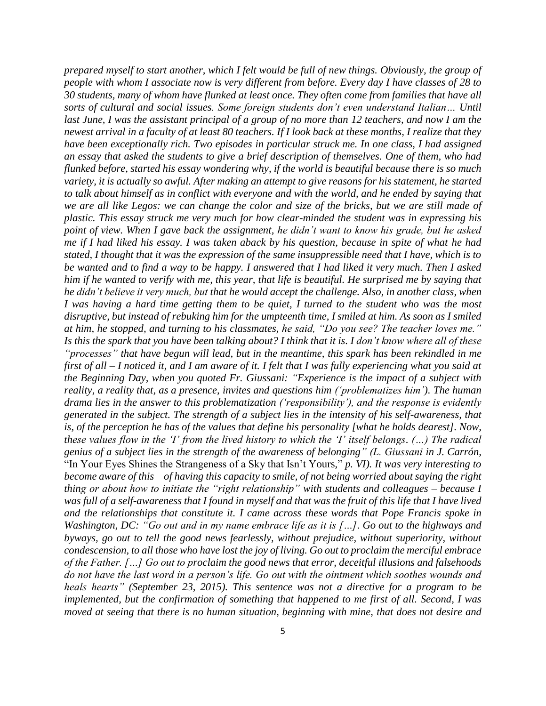*prepared myself to start another, which I felt would be full of new things. Obviously, the group of people with whom I associate now is very different from before. Every day I have classes of 28 to 30 students, many of whom have flunked at least once. They often come from families that have all sorts of cultural and social issues. Some foreign students don't even understand Italian… Until last June, I was the assistant principal of a group of no more than 12 teachers, and now I am the newest arrival in a faculty of at least 80 teachers. If I look back at these months, I realize that they have been exceptionally rich. Two episodes in particular struck me. In one class, I had assigned an essay that asked the students to give a brief description of themselves. One of them, who had flunked before, started his essay wondering why, if the world is beautiful because there is so much variety, it is actually so awful. After making an attempt to give reasons for his statement, he started to talk about himself as in conflict with everyone and with the world, and he ended by saying that we are all like Legos: we can change the color and size of the bricks, but we are still made of plastic. This essay struck me very much for how clear-minded the student was in expressing his point of view. When I gave back the assignment, he didn't want to know his grade, but he asked me if I had liked his essay. I was taken aback by his question, because in spite of what he had stated, I thought that it was the expression of the same insuppressible need that I have, which is to be wanted and to find a way to be happy. I answered that I had liked it very much. Then I asked him if he wanted to verify with me, this year, that life is beautiful. He surprised me by saying that he didn't believe it very much, but that he would accept the challenge. Also, in another class, when I was having a hard time getting them to be quiet, I turned to the student who was the most disruptive, but instead of rebuking him for the umpteenth time, I smiled at him. As soon as I smiled at him, he stopped, and turning to his classmates, he said, "Do you see? The teacher loves me." Is this the spark that you have been talking about? I think that it is. I don't know where all of these "processes" that have begun will lead, but in the meantime, this spark has been rekindled in me first of all – I noticed it, and I am aware of it. I felt that I was fully experiencing what you said at the Beginning Day, when you quoted Fr. Giussani: "Experience is the impact of a subject with reality, a reality that, as a presence, invites and questions him ('problematizes him')*. *The human drama lies in the answer to this problematization ('responsibility'), and the response is evidently generated in the subject. The strength of a subject lies in the intensity of his self-awareness, that is, of the perception he has of the values that define his personality [what he holds dearest]. Now, these values flow in the 'I' from the lived history to which the 'I' itself belongs. (…) The radical genius of a subject lies in the strength of the awareness of belonging" (L. Giussani in J. Carrón,*  "In Your Eyes Shines the Strangeness of a Sky that Isn't Yours*,*" *p. VI). It was very interesting to become aware of this – of having this capacity to smile, of not being worried about saying the right thing or about how to initiate the "right relationship" with students and colleagues – because I was full of a self-awareness that I found in myself and that was the fruit of this life that I have lived and the relationships that constitute it. I came across these words that Pope Francis spoke in Washington, DC: "Go out and in my name embrace life as it is […]. Go out to the highways and byways, go out to tell the good news fearlessly, without prejudice, without superiority, without condescension, to all those who have lost the joy of living. Go out to proclaim the merciful embrace of the Father. […] Go out to proclaim the good news that error, deceitful illusions and falsehoods do not have the last word in a person's life. Go out with the ointment which soothes wounds and heals hearts" (September 23, 2015). This sentence was not a directive for a program to be implemented, but the confirmation of something that happened to me first of all. Second, I was moved at seeing that there is no human situation, beginning with mine, that does not desire and*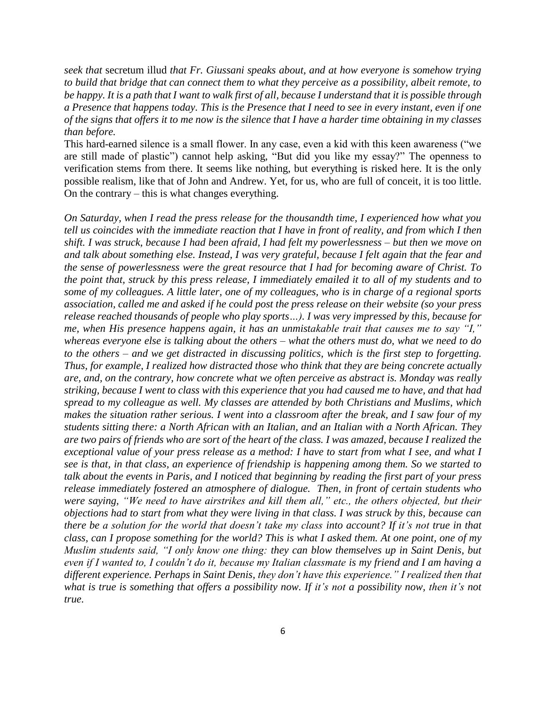*seek that* secretum illud *that Fr. Giussani speaks about, and at how everyone is somehow trying to build that bridge that can connect them to what they perceive as a possibility, albeit remote, to be happy. It is a path that I want to walk first of all, because I understand that it is possible through a Presence that happens today. This is the Presence that I need to see in every instant, even if one of the signs that offers it to me now is the silence that I have a harder time obtaining in my classes than before.*

This hard-earned silence is a small flower. In any case, even a kid with this keen awareness ("we are still made of plastic") cannot help asking, "But did you like my essay?" The openness to verification stems from there. It seems like nothing, but everything is risked here. It is the only possible realism, like that of John and Andrew. Yet, for us, who are full of conceit, it is too little. On the contrary – this is what changes everything.

*On Saturday, when I read the press release for the thousandth time, I experienced how what you tell us coincides with the immediate reaction that I have in front of reality, and from which I then shift. I was struck, because I had been afraid, I had felt my powerlessness – but then we move on and talk about something else. Instead, I was very grateful, because I felt again that the fear and the sense of powerlessness were the great resource that I had for becoming aware of Christ. To the point that, struck by this press release, I immediately emailed it to all of my students and to some of my colleagues. A little later, one of my colleagues, who is in charge of a regional sports association, called me and asked if he could post the press release on their website (so your press release reached thousands of people who play sports…). I was very impressed by this, because for me, when His presence happens again, it has an unmistakable trait that causes me to say "I," whereas everyone else is talking about the others – what the others must do, what we need to do to the others – and we get distracted in discussing politics, which is the first step to forgetting. Thus, for example, I realized how distracted those who think that they are being concrete actually are, and, on the contrary, how concrete what we often perceive as abstract is. Monday was really striking, because I went to class with this experience that you had caused me to have, and that had spread to my colleague as well. My classes are attended by both Christians and Muslims, which makes the situation rather serious. I went into a classroom after the break, and I saw four of my students sitting there: a North African with an Italian, and an Italian with a North African. They are two pairs of friends who are sort of the heart of the class. I was amazed, because I realized the exceptional value of your press release as a method: I have to start from what I see, and what I see is that, in that class, an experience of friendship is happening among them. So we started to talk about the events in Paris, and I noticed that beginning by reading the first part of your press release immediately fostered an atmosphere of dialogue. Then, in front of certain students who were saying, "We need to have airstrikes and kill them all," etc., the others objected, but their objections had to start from what they were living in that class. I was struck by this, because can there be a solution for the world that doesn't take my class into account? If it's not true in that class, can I propose something for the world? This is what I asked them. At one point, one of my Muslim students said, "I only know one thing: they can blow themselves up in Saint Denis, but even if I wanted to, I couldn't do it, because my Italian classmate is my friend and I am having a different experience. Perhaps in Saint Denis, they don't have this experience." I realized then that what is true is something that offers a possibility now. If it's not a possibility now, then it's not true.*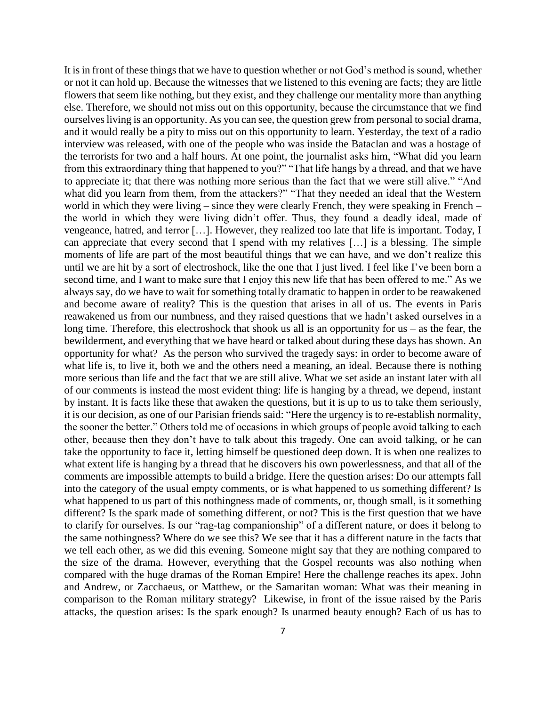It is in front of these things that we have to question whether or not God's method is sound, whether or not it can hold up. Because the witnesses that we listened to this evening are facts; they are little flowers that seem like nothing, but they exist, and they challenge our mentality more than anything else. Therefore, we should not miss out on this opportunity, because the circumstance that we find ourselves living is an opportunity. As you can see, the question grew from personal to social drama, and it would really be a pity to miss out on this opportunity to learn. Yesterday, the text of a radio interview was released, with one of the people who was inside the Bataclan and was a hostage of the terrorists for two and a half hours. At one point, the journalist asks him, "What did you learn from this extraordinary thing that happened to you?" "That life hangs by a thread, and that we have to appreciate it; that there was nothing more serious than the fact that we were still alive." "And what did you learn from them, from the attackers?" "That they needed an ideal that the Western world in which they were living – since they were clearly French, they were speaking in French – the world in which they were living didn't offer. Thus, they found a deadly ideal, made of vengeance, hatred, and terror […]. However, they realized too late that life is important. Today, I can appreciate that every second that I spend with my relatives  $[\dots]$  is a blessing. The simple moments of life are part of the most beautiful things that we can have, and we don't realize this until we are hit by a sort of electroshock, like the one that I just lived. I feel like I've been born a second time, and I want to make sure that I enjoy this new life that has been offered to me." As we always say, do we have to wait for something totally dramatic to happen in order to be reawakened and become aware of reality? This is the question that arises in all of us. The events in Paris reawakened us from our numbness, and they raised questions that we hadn't asked ourselves in a long time. Therefore, this electroshock that shook us all is an opportunity for us  $-$  as the fear, the bewilderment, and everything that we have heard or talked about during these days has shown. An opportunity for what? As the person who survived the tragedy says: in order to become aware of what life is, to live it, both we and the others need a meaning, an ideal. Because there is nothing more serious than life and the fact that we are still alive. What we set aside an instant later with all of our comments is instead the most evident thing: life is hanging by a thread, we depend, instant by instant. It is facts like these that awaken the questions, but it is up to us to take them seriously, it is our decision, as one of our Parisian friends said: "Here the urgency is to re-establish normality, the sooner the better." Others told me of occasions in which groups of people avoid talking to each other, because then they don't have to talk about this tragedy. One can avoid talking, or he can take the opportunity to face it, letting himself be questioned deep down. It is when one realizes to what extent life is hanging by a thread that he discovers his own powerlessness, and that all of the comments are impossible attempts to build a bridge. Here the question arises: Do our attempts fall into the category of the usual empty comments, or is what happened to us something different? Is what happened to us part of this nothingness made of comments, or, though small, is it something different? Is the spark made of something different, or not? This is the first question that we have to clarify for ourselves. Is our "rag-tag companionship" of a different nature, or does it belong to the same nothingness? Where do we see this? We see that it has a different nature in the facts that we tell each other, as we did this evening. Someone might say that they are nothing compared to the size of the drama. However, everything that the Gospel recounts was also nothing when compared with the huge dramas of the Roman Empire! Here the challenge reaches its apex. John and Andrew, or Zacchaeus, or Matthew, or the Samaritan woman: What was their meaning in comparison to the Roman military strategy? Likewise, in front of the issue raised by the Paris attacks, the question arises: Is the spark enough? Is unarmed beauty enough? Each of us has to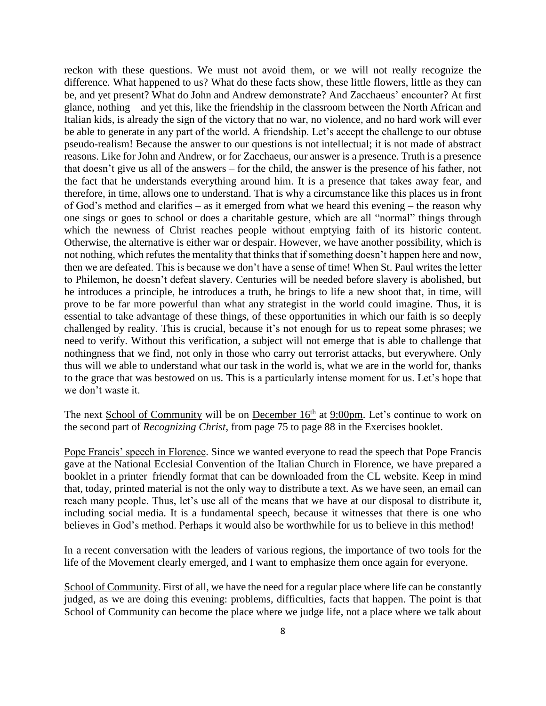reckon with these questions. We must not avoid them, or we will not really recognize the difference. What happened to us? What do these facts show, these little flowers, little as they can be, and yet present? What do John and Andrew demonstrate? And Zacchaeus' encounter? At first glance, nothing – and yet this, like the friendship in the classroom between the North African and Italian kids, is already the sign of the victory that no war, no violence, and no hard work will ever be able to generate in any part of the world. A friendship. Let's accept the challenge to our obtuse pseudo-realism! Because the answer to our questions is not intellectual; it is not made of abstract reasons. Like for John and Andrew, or for Zacchaeus, our answer is a presence. Truth is a presence that doesn't give us all of the answers – for the child, the answer is the presence of his father, not the fact that he understands everything around him. It is a presence that takes away fear, and therefore, in time, allows one to understand. That is why a circumstance like this places us in front of God's method and clarifies – as it emerged from what we heard this evening – the reason why one sings or goes to school or does a charitable gesture, which are all "normal" things through which the newness of Christ reaches people without emptying faith of its historic content. Otherwise, the alternative is either war or despair. However, we have another possibility, which is not nothing, which refutes the mentality that thinks that if something doesn't happen here and now, then we are defeated. This is because we don't have a sense of time! When St. Paul writes the letter to Philemon, he doesn't defeat slavery. Centuries will be needed before slavery is abolished, but he introduces a principle, he introduces a truth, he brings to life a new shoot that, in time, will prove to be far more powerful than what any strategist in the world could imagine. Thus, it is essential to take advantage of these things, of these opportunities in which our faith is so deeply challenged by reality. This is crucial, because it's not enough for us to repeat some phrases; we need to verify. Without this verification, a subject will not emerge that is able to challenge that nothingness that we find, not only in those who carry out terrorist attacks, but everywhere. Only thus will we able to understand what our task in the world is, what we are in the world for, thanks to the grace that was bestowed on us. This is a particularly intense moment for us. Let's hope that we don't waste it.

The next School of Community will be on December  $16<sup>th</sup>$  at  $9:00$ pm. Let's continue to work on the second part of *Recognizing Christ*, from page 75 to page 88 in the Exercises booklet.

Pope Francis' speech in Florence. Since we wanted everyone to read the speech that Pope Francis gave at the National Ecclesial Convention of the Italian Church in Florence, we have prepared a booklet in a printer–friendly format that can be downloaded from the CL website. Keep in mind that, today, printed material is not the only way to distribute a text. As we have seen, an email can reach many people. Thus, let's use all of the means that we have at our disposal to distribute it, including social media. It is a fundamental speech, because it witnesses that there is one who believes in God's method. Perhaps it would also be worthwhile for us to believe in this method!

In a recent conversation with the leaders of various regions, the importance of two tools for the life of the Movement clearly emerged, and I want to emphasize them once again for everyone.

School of Community. First of all, we have the need for a regular place where life can be constantly judged, as we are doing this evening: problems, difficulties, facts that happen. The point is that School of Community can become the place where we judge life, not a place where we talk about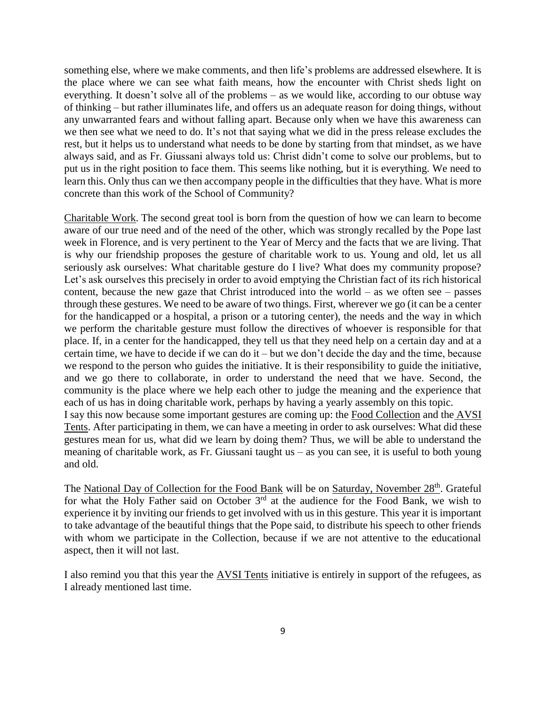something else, where we make comments, and then life's problems are addressed elsewhere. It is the place where we can see what faith means, how the encounter with Christ sheds light on everything. It doesn't solve all of the problems – as we would like, according to our obtuse way of thinking – but rather illuminates life, and offers us an adequate reason for doing things, without any unwarranted fears and without falling apart. Because only when we have this awareness can we then see what we need to do. It's not that saying what we did in the press release excludes the rest, but it helps us to understand what needs to be done by starting from that mindset, as we have always said, and as Fr. Giussani always told us: Christ didn't come to solve our problems, but to put us in the right position to face them. This seems like nothing, but it is everything. We need to learn this. Only thus can we then accompany people in the difficulties that they have. What is more concrete than this work of the School of Community?

Charitable Work. The second great tool is born from the question of how we can learn to become aware of our true need and of the need of the other, which was strongly recalled by the Pope last week in Florence, and is very pertinent to the Year of Mercy and the facts that we are living. That is why our friendship proposes the gesture of charitable work to us. Young and old, let us all seriously ask ourselves: What charitable gesture do I live? What does my community propose? Let's ask ourselves this precisely in order to avoid emptying the Christian fact of its rich historical content, because the new gaze that Christ introduced into the world – as we often  $\sec$  – passes through these gestures. We need to be aware of two things. First, wherever we go (it can be a center for the handicapped or a hospital, a prison or a tutoring center), the needs and the way in which we perform the charitable gesture must follow the directives of whoever is responsible for that place. If, in a center for the handicapped, they tell us that they need help on a certain day and at a certain time, we have to decide if we can do it – but we don't decide the day and the time, because we respond to the person who guides the initiative. It is their responsibility to guide the initiative, and we go there to collaborate, in order to understand the need that we have. Second, the community is the place where we help each other to judge the meaning and the experience that each of us has in doing charitable work, perhaps by having a yearly assembly on this topic. I say this now because some important gestures are coming up: the Food Collection and the AVSI Tents. After participating in them, we can have a meeting in order to ask ourselves: What did these gestures mean for us, what did we learn by doing them? Thus, we will be able to understand the meaning of charitable work, as Fr. Giussani taught us – as you can see, it is useful to both young and old.

The National Day of Collection for the Food Bank will be on Saturday, November 28<sup>th</sup>. Grateful for what the Holy Father said on October  $3<sup>rd</sup>$  at the audience for the Food Bank, we wish to experience it by inviting our friends to get involved with us in this gesture. This year it is important to take advantage of the beautiful things that the Pope said, to distribute his speech to other friends with whom we participate in the Collection, because if we are not attentive to the educational aspect, then it will not last.

I also remind you that this year the AVSI Tents initiative is entirely in support of the refugees, as I already mentioned last time.